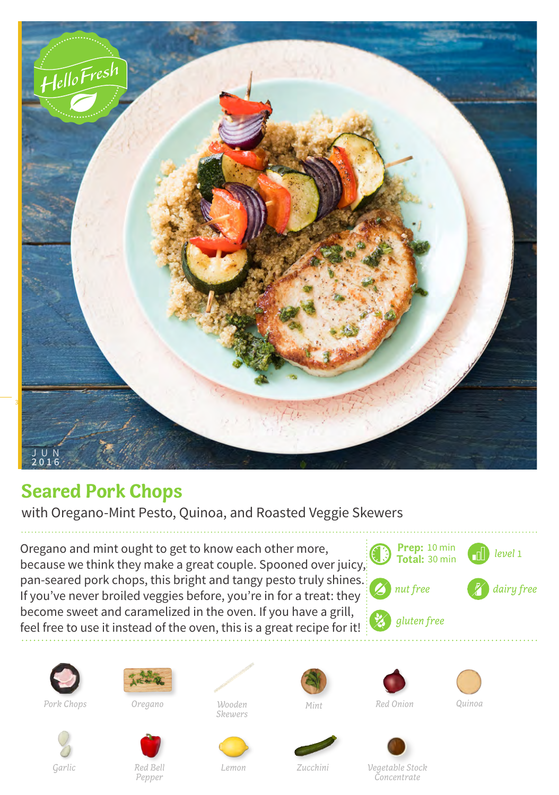

## **Seared Pork Chops**

with Oregano-Mint Pesto, Quinoa, and Roasted Veggie Skewers

Oregano and mint ought to get to know each other more, because we think they make a great couple. Spooned over juicy, pan-seared pork chops, this bright and tangy pesto truly shines. If you've never broiled veggies before, you're in for a treat: they become sweet and caramelized in the oven. If you have a grill, feel free to use it instead of the oven, this is a great recipe for it!







*Pork Chops Oregano Mint Red Onion*

*Garlic Red Bell*

*Skewers*









*Wooden Quinoa*



*Lemon Zucchini Vegetable Stock Concentrate*

*Pepper*